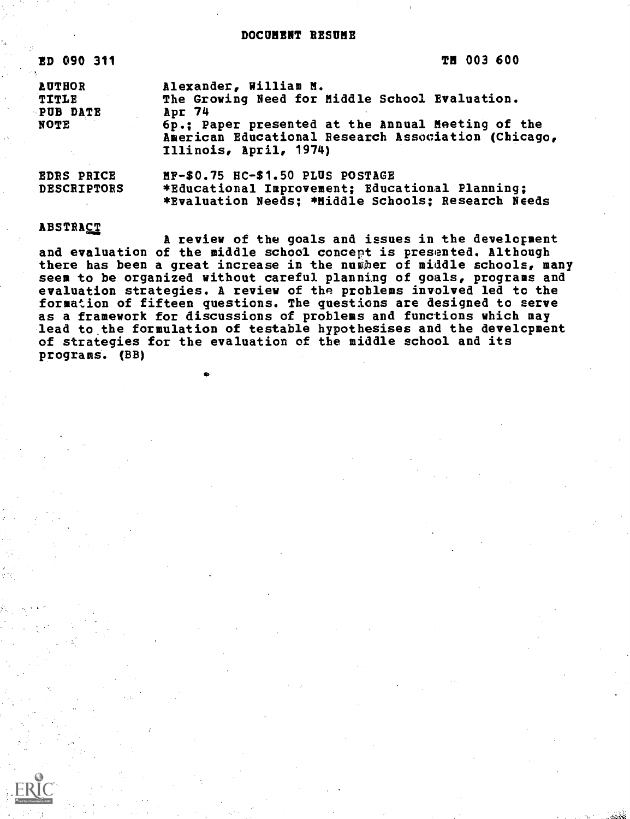# DOCUMENT RESUME

| <b>ED 090 311</b>                          | <b>TH 003 600</b>                                                                                                                                                                                                       |
|--------------------------------------------|-------------------------------------------------------------------------------------------------------------------------------------------------------------------------------------------------------------------------|
| <b>AUTHOR</b><br>TITLE<br>PUB DATE<br>NOTE | Alexander, William M.<br>The Growing Need for Middle School Evaluation.<br>Apr 74<br>6p.: Paper presented at the Annual Meeting of the<br>American Educational Research Association (Chicago,<br>Illinois, April, 1974) |
| <b>EDRS PRICE</b><br><b>DESCRIPTORS</b>    | MF-\$0.75 HC-\$1.50 PLUS POSTAGE<br>*Educational Improvement; Educational Planning;<br>*Evaluation Needs; *Middle Schools; Research Needs                                                                               |

## ABSTRACT

A review of the goals and issues in the development and evaluation of the middle school concept is presented. Although there has been a great increase in the number of middle schools, many seem to be organized without careful planning of goals, programs and evaluation strategies. A review of the problems involved led to the formation of fifteen questions. The questions are designed to serve as a framework for discussions of problems and functions which may lead to the formulation of testable hypothesises and the development of strategies for the evaluation of the middle school and its programs. (BB)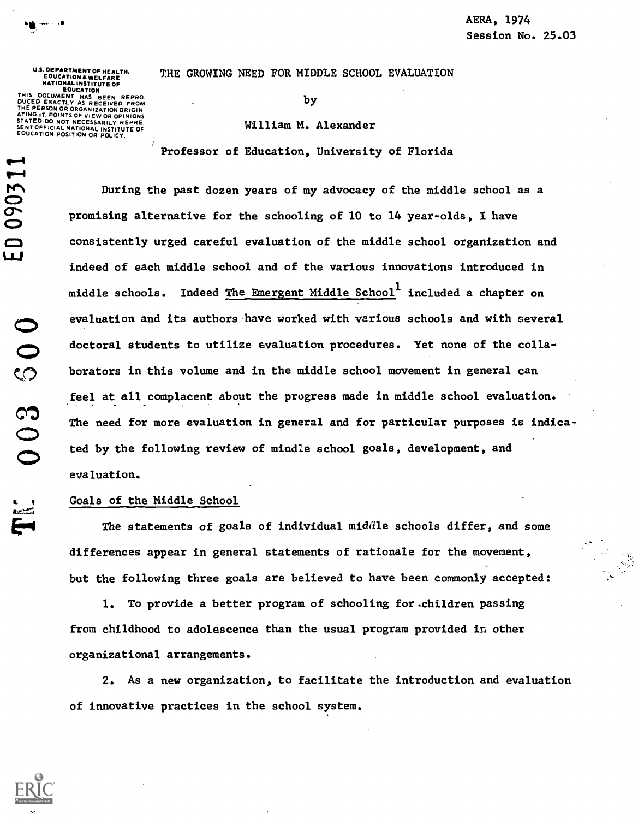THE GROWING NEED FOR MIDDLE SCHOOL EVALUATION

by

## William M. Alexander

Professor of Education, University of Florida

During the past dozen years of my advocacy of the middle school as a  $\bullet$   $\bullet$ promising alternative for the schooling of 10 to 14 year-olds, I have consistently urged careful evaluation of the middle school organization and  $\mathbf{u}$  . indeed of each middle school and of the various innovations introduced in middle schools. Indeed The Emergent Middle School $^{\rm l}$  included a chapter on evaluation and its authors have worked with various schools and with several doctoral students to utilize evaluation procedures. Yet none of the collaborators in this volume and in the middle school movement in general can feel at all complacent about the progress made in middle school evaluation. The need for more evaluation in general and for particular purposes is indicated by the following review of miadle school goals, development, and evaluation.

### Goals of the Middle School

The statements of goals of individual middle schools differ, and some differences appear in general statements of rationale for the movement, but the following three goals are believed to have been commonly accepted:

1. To provide a better program of schooling for.children passing from childhood to adolescence than the usual program provided in other organizational arrangements.

2. As a new organization, to facilitate the introduction and evaluation of innovative practices in the school system.



 $003500$ E

U.S. OEPARTMENT OF HEALTH,<br>EDUCATION & WELFARE<br>NATIONAL INSTITUTE OF<br>EOUCATION THIS DOCUMENT HAS BEEN REPRO.<br>DUCED EXACTLY AS RECEIVED FROM<br>THE PERSON OR ORGANIZATION ORIGIN. **POINTS OF VIEW OR OPINIONS STATE DO NOT NECESSARILY REPRE.** SENT OFFICIAL NATIONAL INSTITUTE OF ON POSITION OR POLICY

 $\overline{a}$ 

range and the second control of the second control of the second control of the second control of the second control of the second control of the second control of the second control of the second control of the second con

.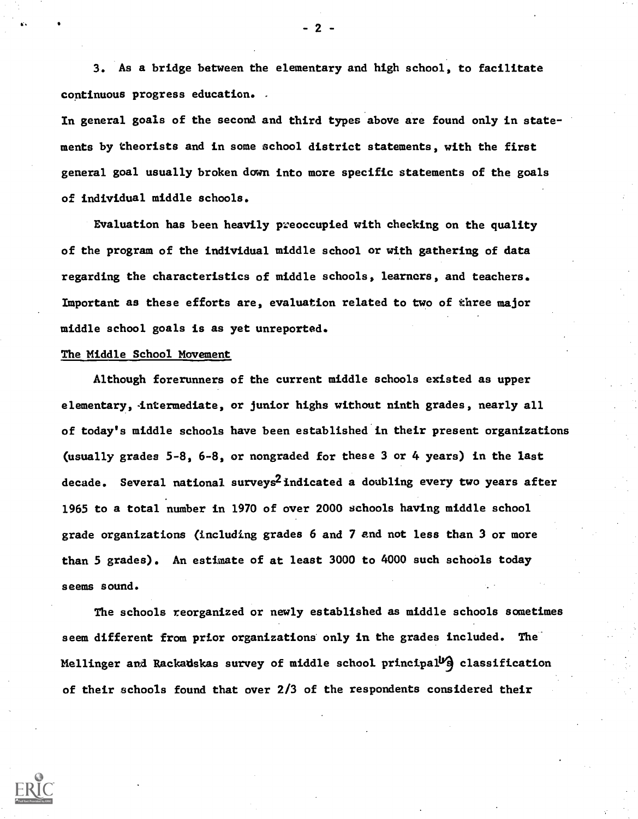3. As a bridge between the elementary and high school, to facilitate continuous progress education. .

In general goals of the second and third types above are found only in statements by theorists and in some school district statements, with the first general goal usually broken down into more specific statements of the goals of individual middle schools.

Evaluation has been heavily preoccupied with checking on the quality of the program of the individual middle school or with gathering of data regarding the characteristics of middle schools, learners, and teachers. Important as these efforts are, evaluation related to two of three major middle school goals is as yet unreported.

# The Middle School Movement

Although forerunners of the current middle schools existed as upper elementary, intermediate, or junior highs without ninth grades, nearly all of today's middle schools have been established in their present organizations (usually grades 5-8, 6-8, or nongraded for these 3 or 4 years) in the last decade. Several national surveys<sup>2</sup> indicated a doubling every two years after 1965 to a total number in 1970 of over 2000 schools having middle school grade organizations (including grades 6 and 7 and not less than 3 or more than 5 grades). An estimate of at least 3000 to 4000 such schools today seems sound.

The schools reorganized or newly established as middle schools sometimes seem different from prior organizations only in the grades included. The Mellinger and Rackadskas survey of middle school principal<sup>1/2</sup> classification of their schools found that over 2/3 of the respondents considered their



 $-2$   $-$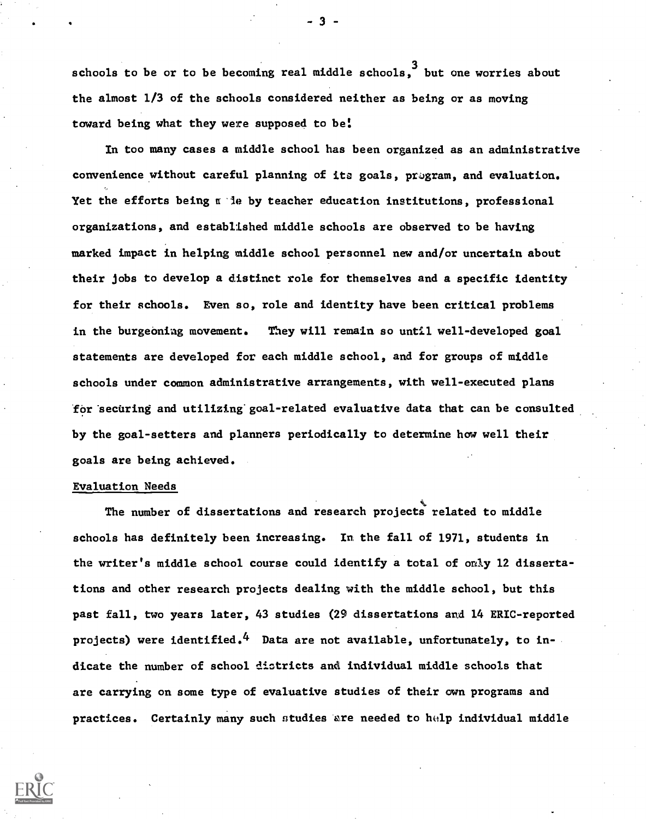schools to be or to be becoming real middle schools, <sup>3</sup> but one worries about the almost 1/3 of the schools considered neither as being or as moving toward being what they were supposed to be

In too many cases a middle school has been organized as an administrative convenience without careful planning of its goals, program, and evaluation. Yet the efforts being  $\pi$  ie by teacher education institutions, professional organizations, and established middle schools are observed to be having marked impact in helping middle school personnel new and/or uncertain about their jobs to develop a distinct role for themselves and a specific identity for their schools. Even so, role and identity have been critical problems in the burgeoning movement. They will remain so until well-developed goal statements are developed for each middle school, and for groups of middle schools under common administrative arrangements, with well-executed plans for securing and utilizing goal-related evaluative data that can be consulted by the goal-setters and planners periodically to determine how well their goals are being achieved.

## Evaluation Needs

The number of dissertations and research projects related to middle schools has definitely been increasing. In the fall of 1971, students in the writer's middle school course could identify a total of only 12 dissertations and other research projects dealing with the middle school, but this past fall, two years later, 43 studies (29 dissertations and 14 ERIC-reported projects) were identified.<sup>4</sup> Data are not available, unfortunately, to indicate the number of school districts and individual middle schools that are carrying on some type of evaluative studies of their own programs and practices. Certainly many such studies are needed to help individual middle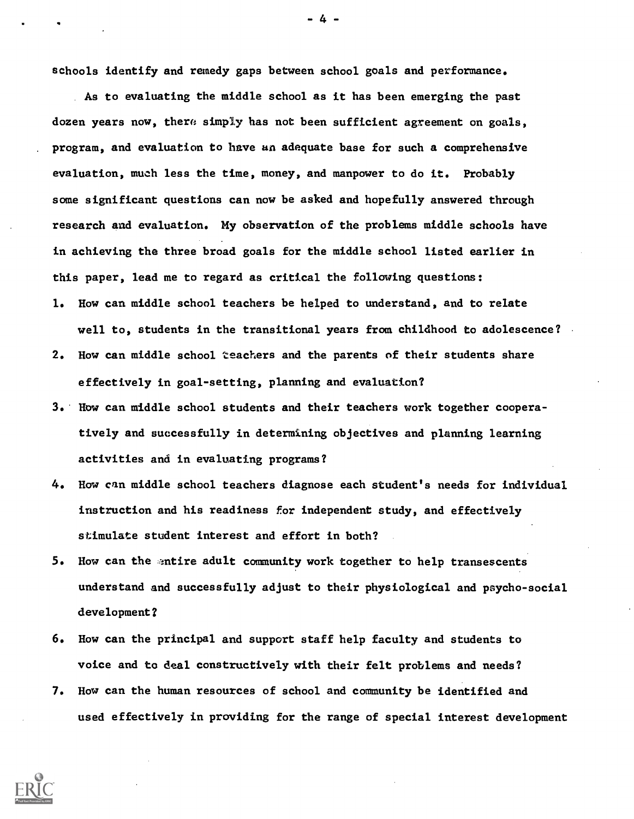schools identify and remedy gaps between school goals and performance.

As to evaluating the middle school as it has been emerging the past dozen years now, there simply has not been sufficient agreement on goals, program, and evaluation to have an adequate base for such a comprehensive evaluation, much less the time, money, and manpower to do it. Probably some significant questions can now be asked and hopefully answered through research and evaluation. My observation of the problems middle schools have in achieving the three broad goals for the middle school listed earlier in this paper, lead me to regard as critical the following questions:

- 1. How can middle school teachers be helped to understand, and to relate well to, students in the transitional years from childhood to adolescence?
- 2. How can middle school teachers and the parents of their students share effectively in goal-setting, planning and evaluation?
- 3. How can middle school students and their teachers work together cooperatively and successfully in determining objectives and planning learning activities and in evaluating programs?
- 4. How can middle school teachers diagnose each student's needs for individual instruction and his readiness for independent study, and effectively stimulate student interest and effort in both?
- 5. How can the entire adult community work together to help transescents understand and successfully adjust to their physiological and psycho-social development?
- 6. How can the principal and support staff help faculty and students to voice and to deal constructively with their felt problems and needs?
- 7. How can the human resources of school and community be identified and used effectively in providing for the range of special interest development



-4-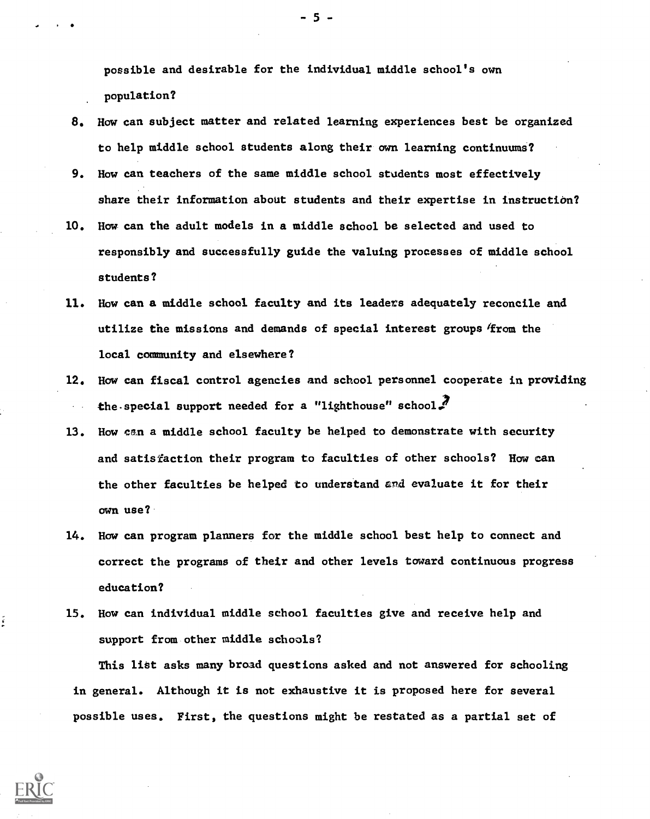possible and desirable for the individual middle school's own population?

- 8. How can subject matter and related learning experiences best be organized to help middle school students along their own learning continuums?
- 9. How can teachers of the same middle school students most effectively share their information about students and their expertise in instruction?
- 10. How can the adult models in a middle school be selected and used to responsibly and successfully guide the valuing processes of middle school students?
- 11. How can a middle school faculty and its leaders adequately reconcile and utilize the missions and demands of special interest groups/from the local community and elsewhere?
- 12. How can fiscal control agencies and school personnel cooperate in providing the special support needed for a "lighthouse" school.
- 13. How can a middle school faculty be helped to demonstrate with security and satisfaction their program to faculties of other schools? How can the other faculties be helped to understand ard evaluate it for their own use?
- 14. Haw can program planners for the middle school best help to connect and correct the programs of their and other levels toward continuous progress education?
- 15. How can individual middle school faculties give and receive help and support from other middle schools?

This list asks many broad questions asked and not answered for schooling in general. Although it is not exhaustive it is proposed here for several possible uses. First, the questions might be restated as a partial set of



 $-5 -$